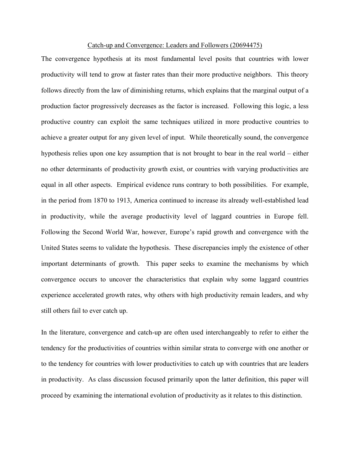## Catch-up and Convergence: Leaders and Followers (20694475)

The convergence hypothesis at its most fundamental level posits that countries with lower productivity will tend to grow at faster rates than their more productive neighbors. This theory follows directly from the law of diminishing returns, which explains that the marginal output of a production factor progressively decreases as the factor is increased. Following this logic, a less productive country can exploit the same techniques utilized in more productive countries to achieve a greater output for any given level of input. While theoretically sound, the convergence hypothesis relies upon one key assumption that is not brought to bear in the real world – either no other determinants of productivity growth exist, or countries with varying productivities are equal in all other aspects. Empirical evidence runs contrary to both possibilities. For example, in the period from 1870 to 1913, America continued to increase its already well-established lead in productivity, while the average productivity level of laggard countries in Europe fell. Following the Second World War, however, Europe's rapid growth and convergence with the United States seems to validate the hypothesis. These discrepancies imply the existence of other important determinants of growth. This paper seeks to examine the mechanisms by which convergence occurs to uncover the characteristics that explain why some laggard countries experience accelerated growth rates, why others with high productivity remain leaders, and why still others fail to ever catch up.

In the literature, convergence and catch-up are often used interchangeably to refer to either the tendency for the productivities of countries within similar strata to converge with one another or to the tendency for countries with lower productivities to catch up with countries that are leaders in productivity. As class discussion focused primarily upon the latter definition, this paper will proceed by examining the international evolution of productivity as it relates to this distinction.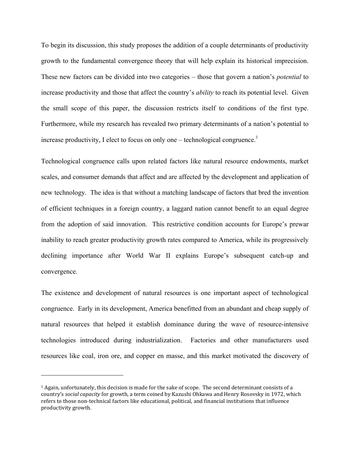To begin its discussion, this study proposes the addition of a couple determinants of productivity growth to the fundamental convergence theory that will help explain its historical imprecision. These new factors can be divided into two categories – those that govern a nation's *potential* to increase productivity and those that affect the country's *ability* to reach its potential level. Given the small scope of this paper, the discussion restricts itself to conditions of the first type. Furthermore, while my research has revealed two primary determinants of a nation's potential to increase productivity, I elect to focus on only one – technological congruence.<sup>1</sup>

Technological congruence calls upon related factors like natural resource endowments, market scales, and consumer demands that affect and are affected by the development and application of new technology. The idea is that without a matching landscape of factors that bred the invention of efficient techniques in a foreign country, a laggard nation cannot benefit to an equal degree from the adoption of said innovation. This restrictive condition accounts for Europe's prewar inability to reach greater productivity growth rates compared to America, while its progressively declining importance after World War II explains Europe's subsequent catch-up and convergence.

The existence and development of natural resources is one important aspect of technological congruence. Early in its development, America benefitted from an abundant and cheap supply of natural resources that helped it establish dominance during the wave of resource-intensive technologies introduced during industrialization. Factories and other manufacturers used resources like coal, iron ore, and copper en masse, and this market motivated the discovery of

!!!!!!!!!!!!!!!!!!!!!!!!!!!!!!!!!!!!!!!!!!!!!!!!!!!!!!!

 $1$  Again, unfortunately, this decision is made for the sake of scope. The second determinant consists of a country's *social capacity* for growth, a term coined by Kazushi Ohkawa and Henry Rosovsky in 1972, which refers to those non-technical factors like educational, political, and financial institutions that influence productivity growth.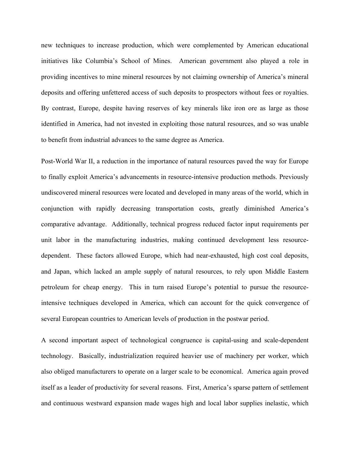new techniques to increase production, which were complemented by American educational initiatives like Columbia's School of Mines. American government also played a role in providing incentives to mine mineral resources by not claiming ownership of America's mineral deposits and offering unfettered access of such deposits to prospectors without fees or royalties. By contrast, Europe, despite having reserves of key minerals like iron ore as large as those identified in America, had not invested in exploiting those natural resources, and so was unable to benefit from industrial advances to the same degree as America.

Post-World War II, a reduction in the importance of natural resources paved the way for Europe to finally exploit America's advancements in resource-intensive production methods. Previously undiscovered mineral resources were located and developed in many areas of the world, which in conjunction with rapidly decreasing transportation costs, greatly diminished America's comparative advantage. Additionally, technical progress reduced factor input requirements per unit labor in the manufacturing industries, making continued development less resourcedependent. These factors allowed Europe, which had near-exhausted, high cost coal deposits, and Japan, which lacked an ample supply of natural resources, to rely upon Middle Eastern petroleum for cheap energy. This in turn raised Europe's potential to pursue the resourceintensive techniques developed in America, which can account for the quick convergence of several European countries to American levels of production in the postwar period.

A second important aspect of technological congruence is capital-using and scale-dependent technology. Basically, industrialization required heavier use of machinery per worker, which also obliged manufacturers to operate on a larger scale to be economical. America again proved itself as a leader of productivity for several reasons. First, America's sparse pattern of settlement and continuous westward expansion made wages high and local labor supplies inelastic, which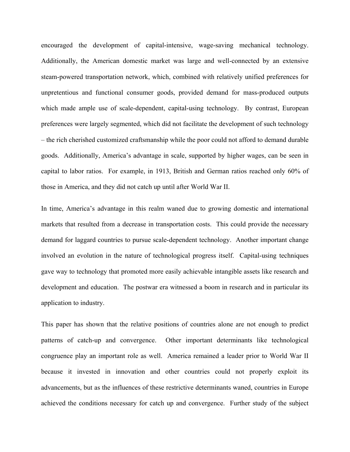encouraged the development of capital-intensive, wage-saving mechanical technology. Additionally, the American domestic market was large and well-connected by an extensive steam-powered transportation network, which, combined with relatively unified preferences for unpretentious and functional consumer goods, provided demand for mass-produced outputs which made ample use of scale-dependent, capital-using technology. By contrast, European preferences were largely segmented, which did not facilitate the development of such technology – the rich cherished customized craftsmanship while the poor could not afford to demand durable goods. Additionally, America's advantage in scale, supported by higher wages, can be seen in capital to labor ratios. For example, in 1913, British and German ratios reached only 60% of those in America, and they did not catch up until after World War II.

In time, America's advantage in this realm waned due to growing domestic and international markets that resulted from a decrease in transportation costs. This could provide the necessary demand for laggard countries to pursue scale-dependent technology. Another important change involved an evolution in the nature of technological progress itself. Capital-using techniques gave way to technology that promoted more easily achievable intangible assets like research and development and education. The postwar era witnessed a boom in research and in particular its application to industry.

This paper has shown that the relative positions of countries alone are not enough to predict patterns of catch-up and convergence. Other important determinants like technological congruence play an important role as well. America remained a leader prior to World War II because it invested in innovation and other countries could not properly exploit its advancements, but as the influences of these restrictive determinants waned, countries in Europe achieved the conditions necessary for catch up and convergence. Further study of the subject